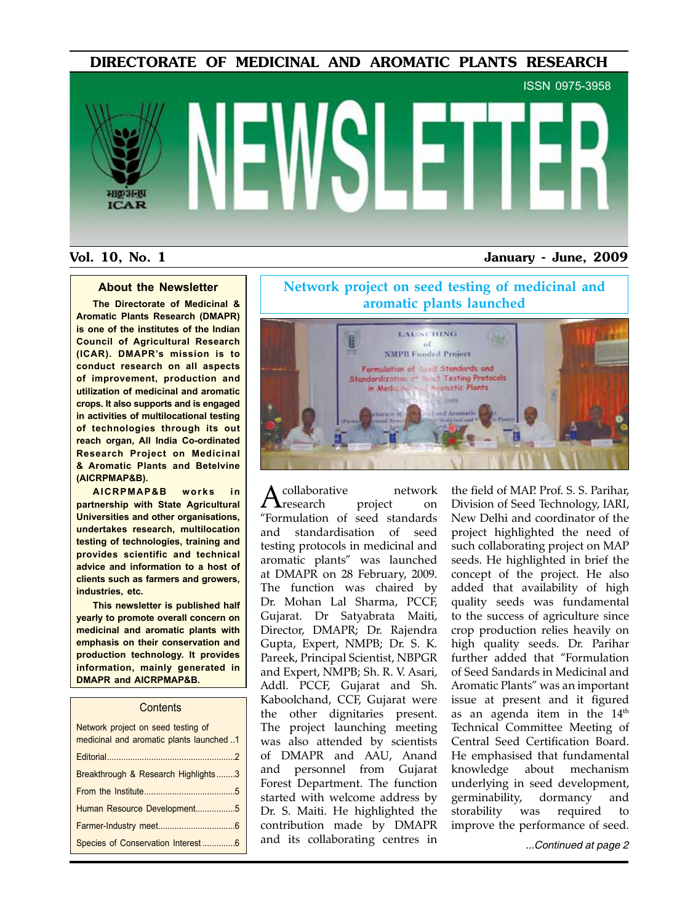DIRECTORATE OF MEDICINAL AND AROMATIC PLANTS RESEARCH

# ISSN 0975-3958भाक अनग **ICAR**

#### Vol. 10, No. 1 January - June, 2009

#### **About the Newsletter**

**The Directorate of Medicinal & Aromatic Plants Research (DMAPR) is one of the institutes of the Indian Council of Agricultural Research (ICAR). DMAPR's mission is to conduct research on all aspects of improvement, production and utilization of medicinal and aromatic crops. It also supports and is engaged in activities of multilocational testing of technologies through its out reach organ, All India Co-ordinated Research Project on Medicinal & Aromatic Plants and Betelvine (AICRPMAP&B).**

**AICRPMAP&B works in partnership with State Agricultural Universities and other organisations, undertakes research, multilocation testing of technologies, training and provides scientific and technical advice and information to a host of clients such as farmers and growers, industries, etc.**

**This newsletter is published half yearly to promote overall concern on medicinal and aromatic plants with emphasis on their conservation and production technology. It provides information, mainly generated in DMAPR and AICRPMAP&B.**

#### **Contents**

| Network project on seed testing of<br>medicinal and aromatic plants launched 1 |
|--------------------------------------------------------------------------------|
|                                                                                |
| Breakthrough & Research Highlights3                                            |
|                                                                                |
| Human Resource Development5                                                    |
|                                                                                |
| Species of Conservation Interest6                                              |

**Network project on seed testing of medicinal and aromatic plants launched**



collaborative network<br>**A** research project on research. "Formulation of seed standards and standardisation of seed testing protocols in medicinal and aromatic plants" was launched at DMAPR on 28 February, 2009. The function was chaired by Dr. Mohan Lal Sharma, PCCF, Gujarat. Dr Satyabrata Maiti, Director, DMAPR; Dr. Rajendra Gupta, Expert, NMPB; Dr. S. K. Pareek, Principal Scientist, NBPGR and Expert, NMPB; Sh. R. V. Asari, Addl. PCCF, Gujarat and Sh. Kaboolchand, CCF, Gujarat were the other dignitaries present. The project launching meeting was also attended by scientists of DMAPR and AAU, Anand and personnel from Gujarat Forest Department. The function started with welcome address by Dr. S. Maiti. He highlighted the contribution made by DMAPR and its collaborating centres in

the field of MAP. Prof. S. S. Parihar, Division of Seed Technology, IARI, New Delhi and coordinator of the project highlighted the need of such collaborating project on MAP seeds. He highlighted in brief the concept of the project. He also added that availability of high quality seeds was fundamental to the success of agriculture since crop production relies heavily on high quality seeds. Dr. Parihar further added that "Formulation of Seed Sandards in Medicinal and Aromatic Plants" was an important issue at present and it figured as an agenda item in the 14<sup>th</sup> Technical Committee Meeting of Central Seed Certification Board. He emphasised that fundamental knowledge about mechanism underlying in seed development, germinability, dormancy and storability was required to improve the performance of seed.

Species of Conservation Interest ..............6 *...Continued at page 2*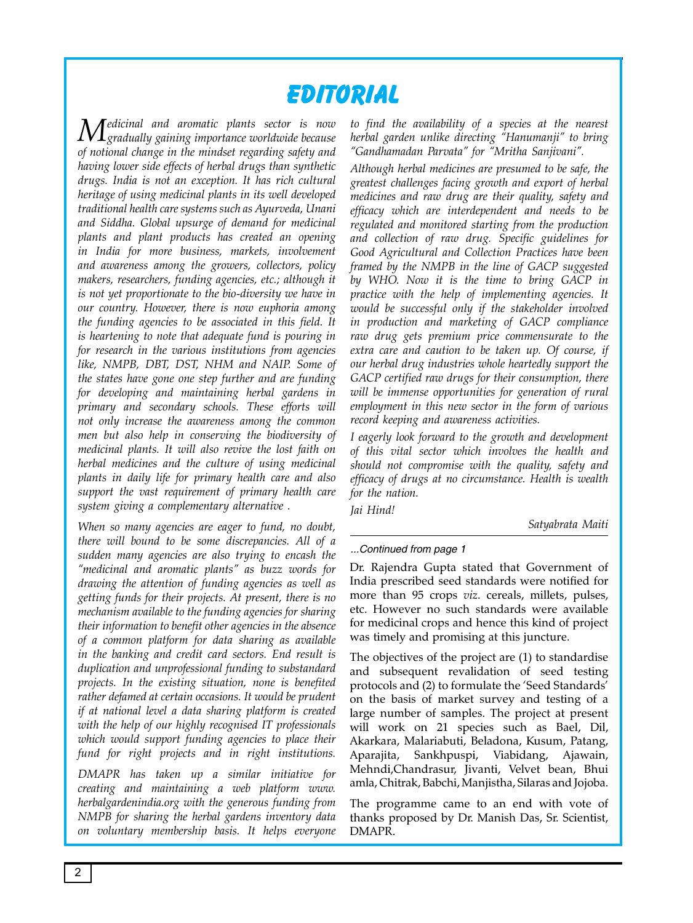# **Editorial**

*Medicinal and aromatic plants sector is now gradually gaining importance worldwide because of notional change in the mindset regarding safety and having lower side effects of herbal drugs than synthetic drugs. India is not an exception. It has rich cultural heritage of using medicinal plants in its well developed traditional health care systems such as Ayurveda, Unani and Siddha. Global upsurge of demand for medicinal plants and plant products has created an opening in India for more business, markets, involvement and awareness among the growers, collectors, policy makers, researchers, funding agencies, etc.; although it is not yet proportionate to the bio-diversity we have in our country. However, there is now euphoria among the funding agencies to be associated in this field. It is heartening to note that adequate fund is pouring in for research in the various institutions from agencies like, NMPB, DBT, DST, NHM and NAIP. Some of the states have gone one step further and are funding for developing and maintaining herbal gardens in primary and secondary schools. These efforts will not only increase the awareness among the common men but also help in conserving the biodiversity of medicinal plants. It will also revive the lost faith on herbal medicines and the culture of using medicinal plants in daily life for primary health care and also support the vast requirement of primary health care system giving a complementary alternative .* 

*When so many agencies are eager to fund, no doubt, there will bound to be some discrepancies. All of a sudden many agencies are also trying to encash the "medicinal and aromatic plants" as buzz words for drawing the attention of funding agencies as well as getting funds for their projects. At present, there is no mechanism available to the funding agencies for sharing their information to benefit other agencies in the absence of a common platform for data sharing as available in the banking and credit card sectors. End result is duplication and unprofessional funding to substandard projects. In the existing situation, none is benefited rather defamed at certain occasions. It would be prudent if at national level a data sharing platform is created with the help of our highly recognised IT professionals which would support funding agencies to place their fund for right projects and in right institutions.* 

*DMAPR has taken up a similar initiative for creating and maintaining a web platform www. herbalgardenindia.org with the generous funding from NMPB for sharing the herbal gardens inventory data on voluntary membership basis. It helps everyone*  *to find the availability of a species at the nearest herbal garden unlike directing "Hanumanji" to bring "Gandhamadan Parvata" for "Mritha Sanjivani".* 

*Although herbal medicines are presumed to be safe, the greatest challenges facing growth and export of herbal medicines and raw drug are their quality, safety and efficacy which are interdependent and needs to be regulated and monitored starting from the production and collection of raw drug. Specific guidelines for Good Agricultural and Collection Practices have been framed by the NMPB in the line of GACP suggested by WHO. Now it is the time to bring GACP in practice with the help of implementing agencies. It would be successful only if the stakeholder involved in production and marketing of GACP compliance raw drug gets premium price commensurate to the extra care and caution to be taken up. Of course, if our herbal drug industries whole heartedly support the GACP certified raw drugs for their consumption, there will be immense opportunities for generation of rural employment in this new sector in the form of various record keeping and awareness activities.* 

*I eagerly look forward to the growth and development of this vital sector which involves the health and should not compromise with the quality, safety and efficacy of drugs at no circumstance. Health is wealth for the nation.* 

*Jai Hind!*

*Satyabrata Maiti*

#### *...Continued from page 1*

Dr. Rajendra Gupta stated that Government of India prescribed seed standards were notified for more than 95 crops *viz*. cereals, millets, pulses, etc. However no such standards were available for medicinal crops and hence this kind of project was timely and promising at this juncture.

The objectives of the project are (1) to standardise and subsequent revalidation of seed testing protocols and (2) to formulate the 'Seed Standards' on the basis of market survey and testing of a large number of samples. The project at present will work on 21 species such as Bael, Dil, Akarkara, Malariabuti, Beladona, Kusum, Patang, Aparajita, Sankhpuspi, Viabidang, Ajawain, Mehndi,Chandrasur, Jivanti, Velvet bean, Bhui amla, Chitrak, Babchi, Manjistha, Silaras and Jojoba.

The programme came to an end with vote of thanks proposed by Dr. Manish Das, Sr. Scientist, DMAPR.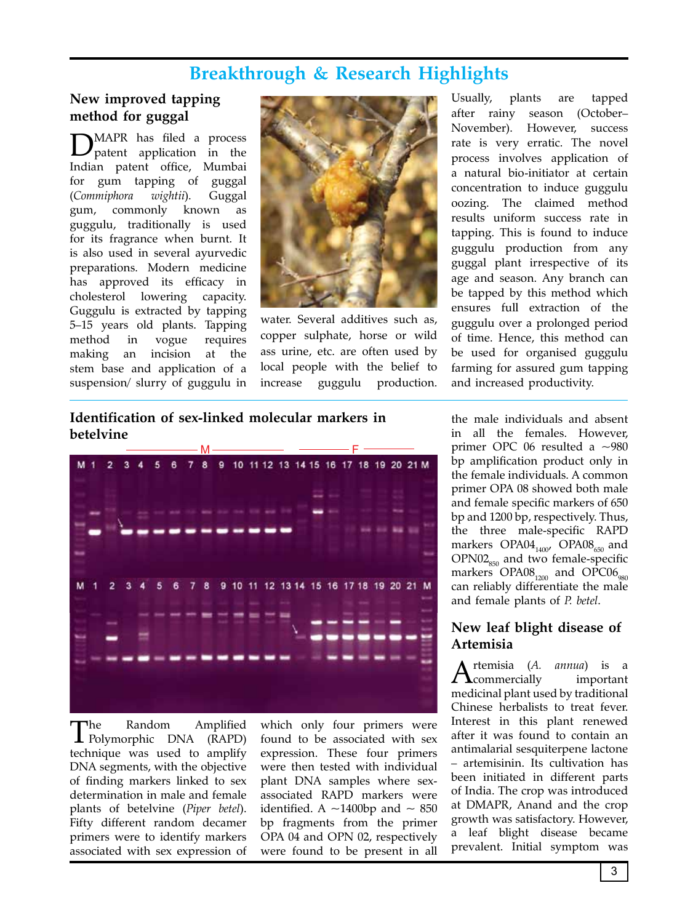# **Breakthrough & Research Highlights**

### **New improved tapping method for guggal**

DMAPR has filed a process patent application in the Indian patent office, Mumbai for gum tapping of guggal (*Commiphora wightii*). Guggal gum, commonly known as guggulu, traditionally is used for its fragrance when burnt. It is also used in several ayurvedic preparations. Modern medicine has approved its efficacy in cholesterol lowering capacity. Guggulu is extracted by tapping 5–15 years old plants. Tapping method in vogue requires making an incision at the stem base and application of a suspension/ slurry of guggulu in



water. Several additives such as, copper sulphate, horse or wild ass urine, etc. are often used by local people with the belief to increase guggulu production.

Usually, plants are tapped after rainy season (October– November). However, success rate is very erratic. The novel process involves application of a natural bio-initiator at certain concentration to induce guggulu oozing. The claimed method results uniform success rate in tapping. This is found to induce guggulu production from any guggal plant irrespective of its age and season. Any branch can be tapped by this method which ensures full extraction of the guggulu over a prolonged period of time. Hence, this method can be used for organised guggulu farming for assured gum tapping and increased productivity.

#### **Identification of sex-linked molecular markers in betelvine**



The Random Amplified Polymorphic DNA (RAPD) technique was used to amplify DNA segments, with the objective of finding markers linked to sex determination in male and female plants of betelvine (*Piper betel*). Fifty different random decamer primers were to identify markers associated with sex expression of

which only four primers were found to be associated with sex expression. These four primers were then tested with individual plant DNA samples where sexassociated RAPD markers were identified. A  $\sim$ 1400bp and  $\sim$  850 bp fragments from the primer OPA 04 and OPN 02, respectively were found to be present in all

the male individuals and absent in all the females. However, primer OPC 06 resulted a ~980 bp amplification product only in the female individuals. A common primer OPA 08 showed both male and female specific markers of 650 bp and 1200 bp, respectively. Thus, the three male-specific RAPD markers  $OPAO4_{1400}$ ,  $OPAO8_{650}$  and  $OPNO2<sub>850</sub>$  and two female-specific markers  $OPA08_{1200}$  and  $OPC06_{980}$ can reliably differentiate the male and female plants of *P. betel*.

#### **New leaf blight disease of Artemisia**

rtemisia (*A. annua*) is a<br>commercially important  $\Gamma$ commercially medicinal plant used by traditional Chinese herbalists to treat fever. Interest in this plant renewed after it was found to contain an antimalarial sesquiterpene lactone – artemisinin. Its cultivation has been initiated in different parts of India. The crop was introduced at DMAPR, Anand and the crop growth was satisfactory. However, a leaf blight disease became prevalent. Initial symptom was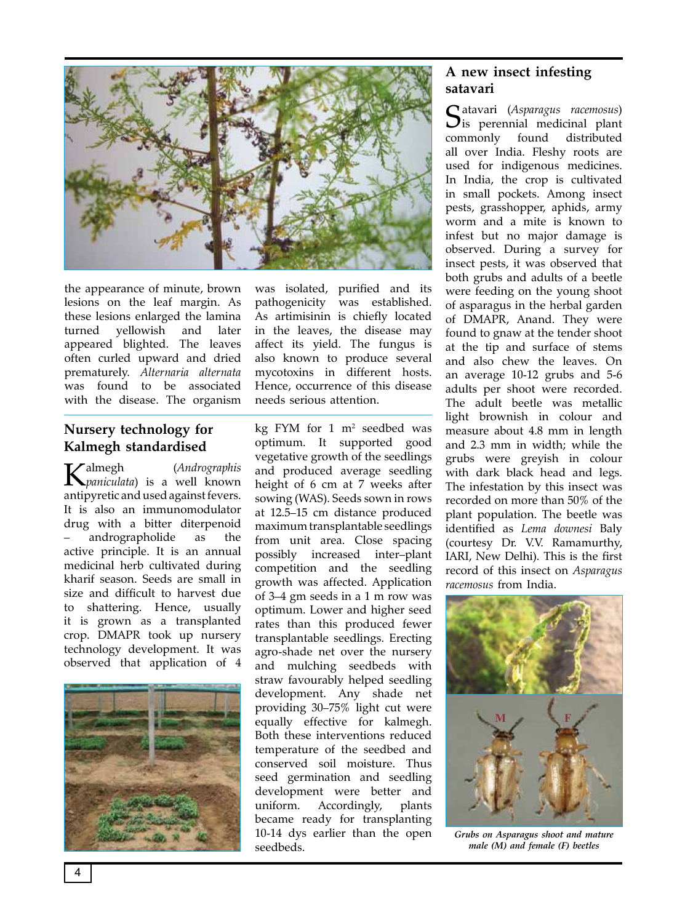

the appearance of minute, brown lesions on the leaf margin. As these lesions enlarged the lamina turned yellowish and later appeared blighted. The leaves often curled upward and dried prematurely. *Alternaria alternata* was found to be associated with the disease. The organism

#### **Nursery technology for Kalmegh standardised**

Kalmegh (*Andrographis paniculata*) is a well known antipyretic and used against fevers. It is also an immunomodulator drug with a bitter diterpenoid – andrographolide as the active principle. It is an annual medicinal herb cultivated during kharif season. Seeds are small in size and difficult to harvest due to shattering. Hence, usually it is grown as a transplanted crop. DMAPR took up nursery technology development. It was observed that application of 4



was isolated, purified and its pathogenicity was established. As artimisinin is chiefly located in the leaves, the disease may affect its yield. The fungus is also known to produce several mycotoxins in different hosts. Hence, occurrence of this disease needs serious attention.

kg FYM for 1 m2 seedbed was optimum. It supported good vegetative growth of the seedlings and produced average seedling height of 6 cm at 7 weeks after sowing (WAS). Seeds sown in rows at 12.5–15 cm distance produced maximum transplantable seedlings from unit area. Close spacing possibly increased inter–plant competition and the seedling growth was affected. Application of 3–4 gm seeds in a 1 m row was optimum. Lower and higher seed rates than this produced fewer transplantable seedlings. Erecting agro-shade net over the nursery and mulching seedbeds with straw favourably helped seedling development. Any shade net providing 30–75% light cut were equally effective for kalmegh. Both these interventions reduced temperature of the seedbed and conserved soil moisture. Thus seed germination and seedling development were better and uniform. Accordingly, plants became ready for transplanting 10-14 dys earlier than the open seedbeds.

#### **A new insect infesting satavari**

Satavari (*Asparagus racemosus*)  $\mathbf{J}$ is perennial medicinal plant commonly found all over India. Fleshy roots are used for indigenous medicines. In India, the crop is cultivated in small pockets. Among insect pests, grasshopper, aphids, army worm and a mite is known to infest but no major damage is observed. During a survey for insect pests, it was observed that both grubs and adults of a beetle were feeding on the young shoot of asparagus in the herbal garden of DMAPR, Anand. They were found to gnaw at the tender shoot at the tip and surface of stems and also chew the leaves. On an average 10-12 grubs and 5-6 adults per shoot were recorded. The adult beetle was metallic light brownish in colour and measure about 4.8 mm in length and 2.3 mm in width; while the grubs were greyish in colour with dark black head and legs. The infestation by this insect was recorded on more than 50% of the plant population. The beetle was identified as *Lema downesi* Baly (courtesy Dr. V.V. Ramamurthy, IARI, New Delhi). This is the first record of this insect on *Asparagus racemosus* from India.



*Grubs on Asparagus shoot and mature male (M) and female (F) beetles*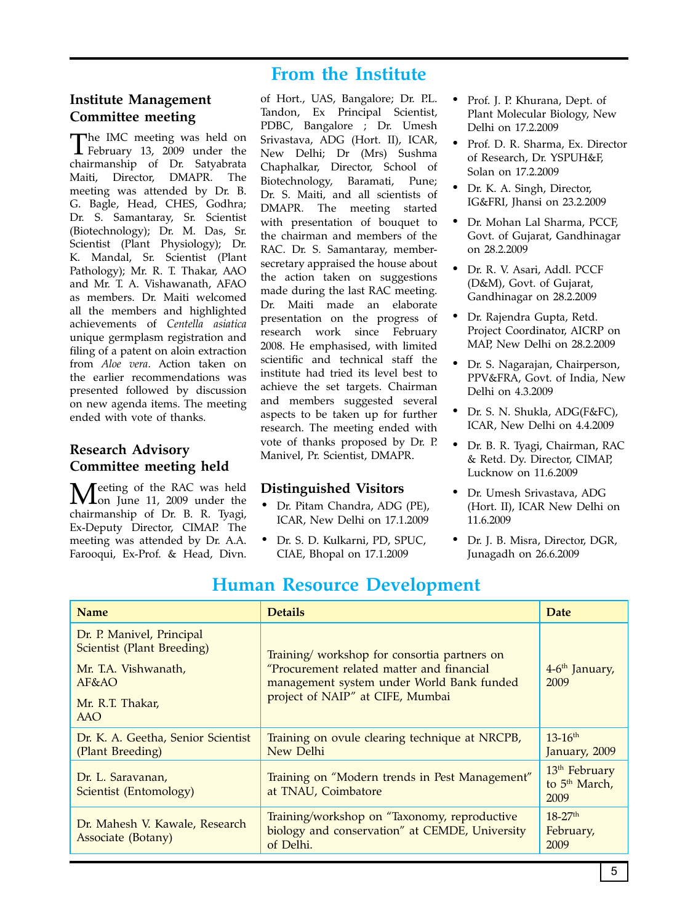## **From the Institute**

#### **Institute Management Committee meeting**

The IMC meeting was held on February 13, 2009 under the chairmanship of Dr. Satyabrata Maiti, Director, DMAPR. The meeting was attended by Dr. B. G. Bagle, Head, CHES, Godhra; Dr. S. Samantaray, Sr. Scientist (Biotechnology); Dr. M. Das, Sr. Scientist (Plant Physiology); Dr. K. Mandal, Sr. Scientist (Plant Pathology); Mr. R. T. Thakar, AAO and Mr. T. A. Vishawanath, AFAO as members. Dr. Maiti welcomed all the members and highlighted achievements of *Centella asiatica* unique germplasm registration and filing of a patent on aloin extraction from *Aloe vera*. Action taken on the earlier recommendations was presented followed by discussion on new agenda items. The meeting ended with vote of thanks.

#### **Research Advisory Committee meeting held**

Feeting of the RAC was held **L**on June 11, 2009 under the chairmanship of Dr. B. R. Tyagi, Ex-Deputy Director, CIMAP. The meeting was attended by Dr. A.A. Farooqui, Ex-Prof. & Head, Divn.

of Hort., UAS, Bangalore; Dr. P.L. Tandon, Ex Principal Scientist, PDBC, Bangalore ; Dr. Umesh Srivastava, ADG (Hort. II), ICAR, New Delhi; Dr (Mrs) Sushma Chaphalkar, Director, School of Biotechnology, Baramati, Pune; Dr. S. Maiti, and all scientists of DMAPR. The meeting started with presentation of bouquet to the chairman and members of the RAC. Dr. S. Samantaray, membersecretary appraised the house about the action taken on suggestions made during the last RAC meeting. Dr. Maiti made an elaborate presentation on the progress of research work since February 2008. He emphasised, with limited scientific and technical staff the institute had tried its level best to achieve the set targets. Chairman and members suggested several aspects to be taken up for further research. The meeting ended with vote of thanks proposed by Dr. P. Manivel, Pr. Scientist, DMAPR.

#### **Distinguished Visitors**

- Dr. Pitam Chandra, ADG (PE), ICAR, New Delhi on 17.1.2009
- Dr. S. D. Kulkarni, PD, SPUC, CIAE, Bhopal on 17.1.2009
- Prof. J. P. Khurana, Dept. of Plant Molecular Biology, New Delhi on 17.2.2009
- Prof. D. R. Sharma, Ex. Director of Research, Dr. YSPUH&F, Solan on 17.2.2009
- Dr. K. A. Singh, Director, IG&FRI, Jhansi on 23.2.2009
- Dr. Mohan Lal Sharma, PCCF, Govt. of Gujarat, Gandhinagar on 28.2.2009
- Dr. R. V. Asari, Addl. PCCF (D&M), Govt. of Gujarat, Gandhinagar on 28.2.2009
- Dr. Rajendra Gupta, Retd. Project Coordinator, AICRP on MAP, New Delhi on 28.2.2009
- Dr. S. Nagarajan, Chairperson, PPV&FRA, Govt. of India, New Delhi on 4.3.2009
- Dr. S. N. Shukla, ADG(F&FC), ICAR, New Delhi on 4.4.2009
- Dr. B. R. Tyagi, Chairman, RAC & Retd. Dy. Director, CIMAP, Lucknow on 11.6.2009
- Dr. Umesh Srivastava, ADG (Hort. II), ICAR New Delhi on 11.6.2009
- Dr. J. B. Misra, Director, DGR, Junagadh on 26.6.2009

| <b>Name</b>                                                                                                               | <b>Details</b>                                                                                                                                                            | <b>Date</b>                                                    |
|---------------------------------------------------------------------------------------------------------------------------|---------------------------------------------------------------------------------------------------------------------------------------------------------------------------|----------------------------------------------------------------|
| Dr. P. Manivel, Principal<br>Scientist (Plant Breeding)<br>Mr. T.A. Vishwanath,<br>AF&A<br>Mr. R.T. Thakar,<br><b>AAO</b> | Training/workshop for consortia partners on<br>"Procurement related matter and financial<br>management system under World Bank funded<br>project of NAIP" at CIFE, Mumbai | 4-6 <sup>th</sup> January,<br>2009                             |
| Dr. K. A. Geetha, Senior Scientist<br>(Plant Breeding)                                                                    | Training on ovule clearing technique at NRCPB,<br>New Delhi                                                                                                               | $13-16^{th}$<br>January, 2009                                  |
| Dr. L. Saravanan,<br>Scientist (Entomology)                                                                               | Training on "Modern trends in Pest Management"<br>at TNAU, Coimbatore                                                                                                     | 13 <sup>th</sup> February<br>to 5 <sup>th</sup> March,<br>2009 |
| Dr. Mahesh V. Kawale, Research<br>Associate (Botany)                                                                      | Training/workshop on "Taxonomy, reproductive<br>biology and conservation" at CEMDE, University<br>of Delhi.                                                               | $18-27$ <sup>th</sup><br>February,<br>2009                     |

# **Human Resource Development**